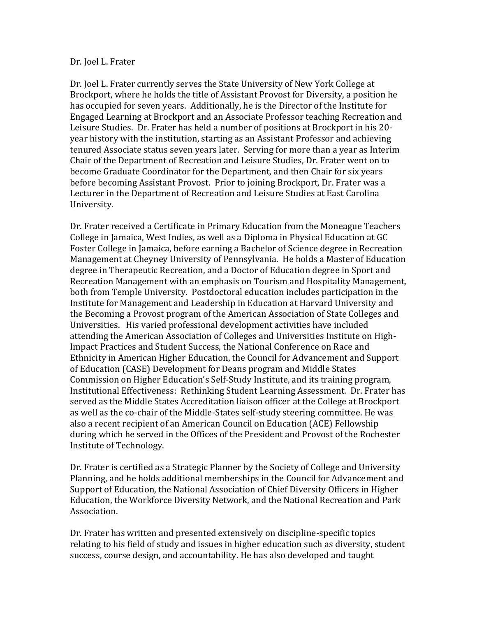## Dr. Joel L. Frater

Dr. Joel L. Frater currently serves the State University of New York College at Brockport, where he holds the title of Assistant Provost for Diversity, a position he has occupied for seven years. Additionally, he is the Director of the Institute for Engaged Learning at Brockport and an Associate Professor teaching Recreation and Leisure Studies. Dr. Frater has held a number of positions at Brockport in his 20 year history with the institution, starting as an Assistant Professor and achieving tenured Associate status seven years later. Serving for more than a year as Interim Chair of the Department of Recreation and Leisure Studies, Dr. Frater went on to become Graduate Coordinator for the Department, and then Chair for six years before becoming Assistant Provost. Prior to joining Brockport, Dr. Frater was a Lecturer in the Department of Recreation and Leisure Studies at East Carolina University.

Dr. Frater received a Certificate in Primary Education from the Moneague Teachers College in Jamaica, West Indies, as well as a Diploma in Physical Education at GC Foster College in Jamaica, before earning a Bachelor of Science degree in Recreation Management at Cheyney University of Pennsylvania. He holds a Master of Education degree in Therapeutic Recreation, and a Doctor of Education degree in Sport and Recreation Management with an emphasis on Tourism and Hospitality Management, both from Temple University. Postdoctoral education includes participation in the Institute for Management and Leadership in Education at Harvard University and the Becoming a Provost program of the American Association of State Colleges and Universities. His varied professional development activities have included attending the American Association of Colleges and Universities Institute on High-Impact Practices and Student Success, the National Conference on Race and Ethnicity in American Higher Education, the Council for Advancement and Support of Education (CASE) Development for Deans program and Middle States Commission on Higher Education's Self-Study Institute, and its training program, Institutional Effectiveness: Rethinking Student Learning Assessment. Dr. Frater has served as the Middle States Accreditation liaison officer at the College at Brockport as well as the co-chair of the Middle-States self-study steering committee. He was also a recent recipient of an American Council on Education (ACE) Fellowship during which he served in the Offices of the President and Provost of the Rochester Institute of Technology.

Dr. Frater is certified as a Strategic Planner by the Society of College and University Planning, and he holds additional memberships in the Council for Advancement and Support of Education, the National Association of Chief Diversity Officers in Higher Education, the Workforce Diversity Network, and the National Recreation and Park Association.

Dr. Frater has written and presented extensively on discipline-specific topics relating to his field of study and issues in higher education such as diversity, student success, course design, and accountability. He has also developed and taught